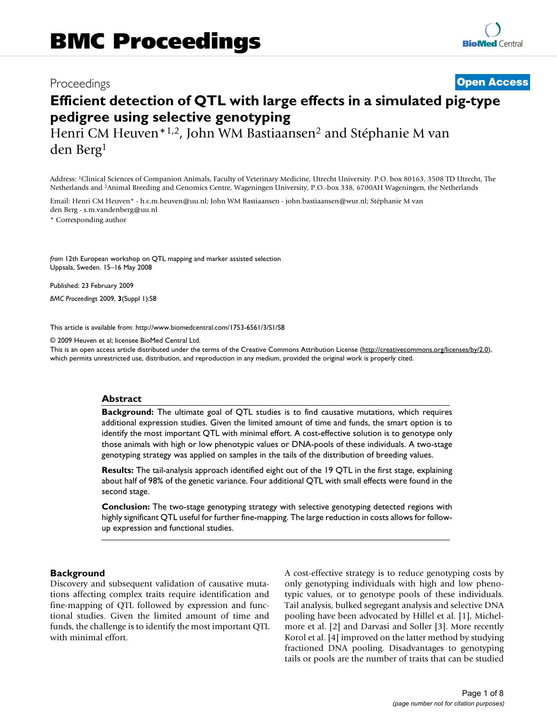## Proceedings **[Open Access](http://www.biomedcentral.com/info/about/charter/)**

# **Efficient detection of QTL with large effects in a simulated pig-type pedigree using selective genotyping**

Henri CM Heuven\*1,2, John WM Bastiaansen2 and Stéphanie M van den Berg1

Address: 1Clinical Sciences of Companion Animals, Faculty of Veterinary Medicine, Utrecht University. P.O. box 80163, 3508 TD Utrecht, The Netherlands and 2Animal Breeding and Genomics Centre, Wageningen University, P.O.-box 338, 6700AH Wageningen, the Netherlands

Email: Henri CM Heuven\* - h.c.m.heuven@uu.nl; John WM Bastiaansen - john.bastiaansen@wur.nl; Stéphanie M van den Berg - s.m.vandenberg@uu.nl

\* Corresponding author

*from* 12th European workshop on QTL mapping and marker assisted selection Uppsala, Sweden. 15–16 May 2008

Published: 23 February 2009

*BMC Proceedings* 2009, **3**(Suppl 1):S8

[This article is available from: http://www.biomedcentral.com/1753-6561/3/S1/S8](http://www.biomedcentral.com/1753-6561/3/S1/S8)

© 2009 Heuven et al; licensee BioMed Central Ltd.

This is an open access article distributed under the terms of the Creative Commons Attribution License [\(http://creativecommons.org/licenses/by/2.0\)](http://creativecommons.org/licenses/by/2.0), which permits unrestricted use, distribution, and reproduction in any medium, provided the original work is properly cited.

#### **Abstract**

**Background:** The ultimate goal of QTL studies is to find causative mutations, which requires additional expression studies. Given the limited amount of time and funds, the smart option is to identify the most important QTL with minimal effort. A cost-effective solution is to genotype only those animals with high or low phenotypic values or DNA-pools of these individuals. A two-stage genotyping strategy was applied on samples in the tails of the distribution of breeding values.

**Results:** The tail-analysis approach identified eight out of the 19 QTL in the first stage, explaining about half of 98% of the genetic variance. Four additional QTL with small effects were found in the second stage.

**Conclusion:** The two-stage genotyping strategy with selective genotyping detected regions with highly significant QTL useful for further fine-mapping. The large reduction in costs allows for followup expression and functional studies.

#### **Background**

Discovery and subsequent validation of causative mutations affecting complex traits require identification and fine-mapping of QTL followed by expression and functional studies. Given the limited amount of time and funds, the challenge is to identify the most important QTL with minimal effort.

A cost-effective strategy is to reduce genotyping costs by only genotyping individuals with high and low phenotypic values, or to genotype pools of these individuals. Tail analysis, bulked segregant analysis and selective DNA pooling have been advocated by Hillel et al. [1], Michelmore et al. [2] and Darvasi and Soller [3]. More recently Korol et al. [4] improved on the latter method by studying fractioned DNA pooling. Disadvantages to genotyping tails or pools are the number of traits that can be studied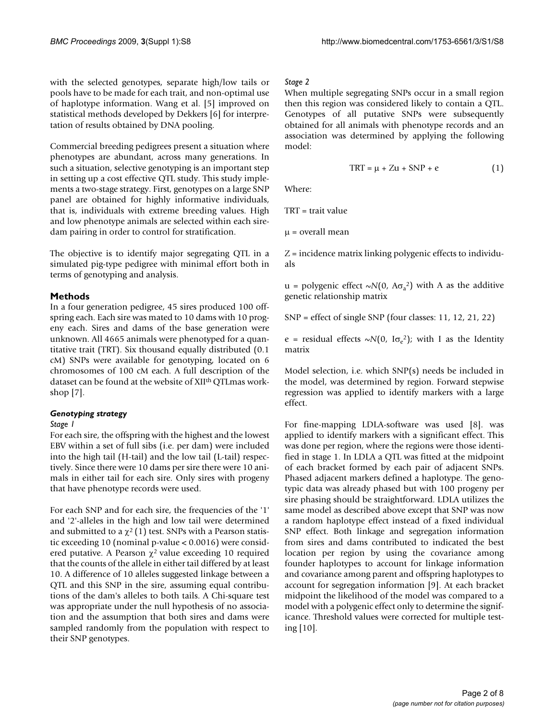with the selected genotypes, separate high/low tails or pools have to be made for each trait, and non-optimal use of haplotype information. Wang et al. [5] improved on statistical methods developed by Dekkers [6] for interpretation of results obtained by DNA pooling.

Commercial breeding pedigrees present a situation where phenotypes are abundant, across many generations. In such a situation, selective genotyping is an important step in setting up a cost effective QTL study. This study implements a two-stage strategy. First, genotypes on a large SNP panel are obtained for highly informative individuals, that is, individuals with extreme breeding values. High and low phenotype animals are selected within each siredam pairing in order to control for stratification.

The objective is to identify major segregating QTL in a simulated pig-type pedigree with minimal effort both in terms of genotyping and analysis.

#### **Methods**

In a four generation pedigree, 45 sires produced 100 offspring each. Each sire was mated to 10 dams with 10 progeny each. Sires and dams of the base generation were unknown. All 4665 animals were phenotyped for a quantitative trait (TRT). Six thousand equally distributed (0.1 cM) SNPs were available for genotyping, located on 6 chromosomes of 100 cM each. A full description of the dataset can be found at the website of XII<sup>th</sup> QTLmas workshop [7].

#### *Genotyping strategy*

#### *Stage 1*

For each sire, the offspring with the highest and the lowest EBV within a set of full sibs (i.e. per dam) were included into the high tail (H-tail) and the low tail (L-tail) respectively. Since there were 10 dams per sire there were 10 animals in either tail for each sire. Only sires with progeny that have phenotype records were used.

For each SNP and for each sire, the frequencies of the '1' and '2'-alleles in the high and low tail were determined and submitted to a  $\chi^2$  (1) test. SNPs with a Pearson statistic exceeding 10 (nominal p-value < 0.0016) were considered putative. A Pearson  $\chi^2$  value exceeding 10 required that the counts of the allele in either tail differed by at least 10. A difference of 10 alleles suggested linkage between a QTL and this SNP in the sire, assuming equal contributions of the dam's alleles to both tails. A Chi-square test was appropriate under the null hypothesis of no association and the assumption that both sires and dams were sampled randomly from the population with respect to their SNP genotypes.

#### *Stage 2*

When multiple segregating SNPs occur in a small region then this region was considered likely to contain a QTL. Genotypes of all putative SNPs were subsequently obtained for all animals with phenotype records and an association was determined by applying the following model:

$$
TRT = \mu + Zu + SNP + e
$$
 (1)

Where:

TRT = trait value

 $\mu$  = overall mean

Z = incidence matrix linking polygenic effects to individuals

u = polygenic effect  $\sim N(0, A\sigma_a^2)$  with A as the additive genetic relationship matrix

SNP = effect of single SNP (four classes: 11, 12, 21, 22)

e = residual effects  $\sim N(0, I\sigma_e^2)$ ; with I as the Identity matrix

Model selection, i.e. which SNP(s) needs be included in the model, was determined by region. Forward stepwise regression was applied to identify markers with a large effect.

For fine-mapping LDLA-software was used [8]. was applied to identify markers with a significant effect. This was done per region, where the regions were those identified in stage 1. In LDLA a QTL was fitted at the midpoint of each bracket formed by each pair of adjacent SNPs. Phased adjacent markers defined a haplotype. The genotypic data was already phased but with 100 progeny per sire phasing should be straightforward. LDLA utilizes the same model as described above except that SNP was now a random haplotype effect instead of a fixed individual SNP effect. Both linkage and segregation information from sires and dams contributed to indicated the best location per region by using the covariance among founder haplotypes to account for linkage information and covariance among parent and offspring haplotypes to account for segregation information [9]. At each bracket midpoint the likelihood of the model was compared to a model with a polygenic effect only to determine the significance. Threshold values were corrected for multiple testing [10].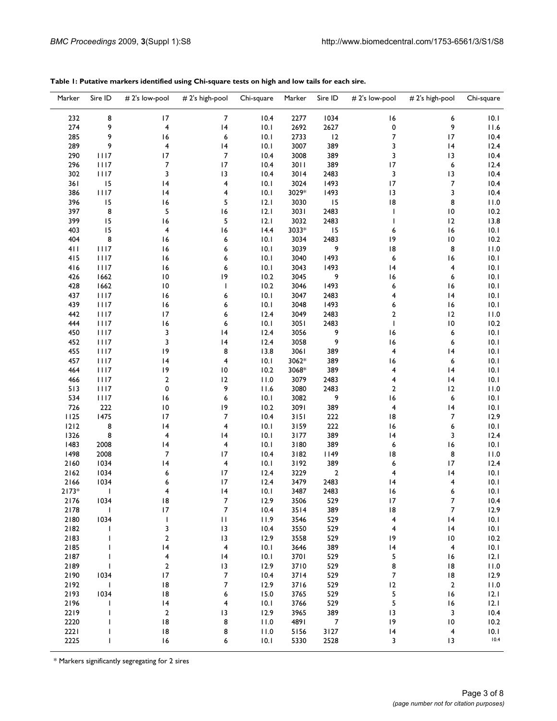| 8<br>$\overline{7}$<br>232<br>17<br>10.4<br>2277<br>1034<br>16<br>6<br>10.1<br>9<br>9<br>274<br>$\overline{\mathbf{4}}$<br> 4<br>10.1<br>2692<br>2627<br>0<br>11.6<br>9<br>7<br>285<br>16<br>6<br>10.1<br>2733<br>12<br>17<br>10.4<br>9<br>289<br>4<br> 4<br>3007<br>389<br>3<br> 4<br>12.4<br>10.1<br>$\overline{7}$<br>17<br>3008<br>3<br>10.4<br>290<br>1117<br>10.4<br>389<br>13<br>1117<br>7<br>17<br>3011<br>389<br>17<br>6<br>12.4<br>296<br>10.4<br>302<br>1117<br>3<br>13<br>3014<br>3<br>13<br>10.4<br>2483<br>10.4<br>15<br>7<br>361<br>4<br>10.1<br>3024<br>1493<br>17<br>10.4<br> 4<br>$1117$<br>3029*<br>3<br>386<br> 4<br>4<br>10.1<br>1493<br> 3<br>10.4<br>15<br>5<br>3030<br> 8<br>8<br>396<br>16<br>12.1<br>15<br>11.0<br>8<br>5<br>16<br>397<br>3031<br>$\overline{10}$<br>10.2<br>12.1<br>2483<br>$\mathbf{I}$<br>5<br>399<br>15<br>3032<br>2483<br>12<br>16<br>12.1<br>$\mathbf{I}$<br>13.8<br>15<br>3033*<br>15<br>16<br>10.1<br>403<br>4<br>16<br>14.4<br>6<br>404<br>8<br>3034<br>2483<br> 9<br>$\overline{10}$<br>10.2<br>16<br>6<br>10.1<br>3039<br>9<br>8<br>411<br>1117<br>16<br>6<br>10.1<br> 8<br>11.0<br>1117<br>6<br>10.1<br>3040<br>1493<br>6<br>16<br>10.1<br>415<br>16<br>416<br>1117<br>16<br>6<br>10.1<br>3043<br>1493<br> 4<br>4<br>10.1<br>1662<br> 9<br>10.2<br>3045<br>9<br>16<br>6<br>426<br>$\overline{10}$<br>10.1<br>10.2<br>1493<br>6<br>10.1<br>428<br>1662<br>10<br>L<br>3046<br>16<br>10.1<br>437<br>1117<br>16<br>6<br>10.1<br>3047<br>2483<br>4<br> 4<br>439<br>1117<br>6<br>3048<br>1493<br>16<br>10.1<br>16<br>10.1<br>6<br>442<br>1117<br>17<br>6<br>12.4<br>3049<br>2483<br>$\overline{2}$<br>12<br>11.0<br>1117<br>10.1<br>3051<br>2483<br>$\overline{10}$<br>10.2<br>444<br>16<br>6<br>T<br>3<br>450<br>1117<br> 4<br>12.4<br>3056<br>9<br>16<br>6<br>10.1<br>9<br>3<br> 4<br>3058<br>16<br>6<br>452<br>1117<br>12.4<br>10.1<br>455<br>1117<br> 9<br>8<br>13.8<br>3061<br>389<br>4<br>10.1<br> 4<br>457<br>1117<br> 4<br>4<br>10.1<br>3062*<br>389<br>10.1<br>6<br>16<br>464<br>1117<br> 9<br>$\overline{10}$<br>10.2<br>3068*<br>389<br>4<br>10.1<br> 4<br>$\overline{2}$<br>12<br>11.0<br>3079<br>2483<br> 4<br>466<br>1117<br>4<br>10.1<br>9<br>513<br>1117<br>0<br>11.6<br>3080<br>2483<br>$\overline{2}$<br>12<br>11.0<br>6<br>9<br>16<br>6<br>534<br>1117<br>16<br>10.1<br>3082<br>10.1<br>726<br>222<br> 9<br>10.2<br>3091<br>389<br>4<br> 4<br>$\overline{10}$<br>10.1<br>1125<br>1475<br>17<br>$\overline{7}$<br>3151<br>222<br> 8<br>7<br>12.9<br>10.4<br>1212<br>8<br> 4<br>4<br>3159<br>222<br>6<br>10.1<br>10.1<br>16<br>8<br>$\overline{\mathbf{4}}$<br> 4<br>3177<br>389<br> 4<br>3<br>12.4<br>1326<br>10.1<br>2008<br>4<br>10.1<br>3180<br>389<br>6<br>16<br>10.1<br>1483<br> 4<br>2008<br>7<br>17<br>3182<br>8<br>11.0<br>1498<br>10.4<br>1149<br>18<br>2160<br>1034<br> 4<br>$\overline{\mathbf{4}}$<br>3192<br>389<br>17<br>12.4<br>10.1<br>6<br>2162<br>1034<br>17<br>3229<br>$\overline{2}$<br>4<br> 4<br>6<br>12.4<br>10.1<br>2166<br>1034<br>17<br>3479<br>2483<br>10.1<br>12.4<br>4<br>6<br>14<br> 4<br>$2173*$<br>4<br>10.1<br>3487<br>2483<br>6<br>10.1<br>T<br>16<br>$\boldsymbol{7}$<br>10.4<br>2176<br>1034<br>12.9<br>3506<br>529<br>17<br>7<br>18<br>7<br>7<br>17<br>2178<br>I<br>10.4<br>3514<br>389<br> 8<br>12.9<br>2180<br>1034<br>$\mathsf I$<br>$\mathsf{H}% _{T}=\mathsf{H}_{T}\left( \mathcal{M}_{T}\right)$<br>529<br>10.1<br>11.9<br>3546<br>4<br> 4<br>2182<br>3<br>13<br>10.4<br>3550<br>529<br>10.1<br>4<br> 4<br>2183<br>$\overline{2}$<br>13<br>12.9<br>3558<br>529<br>10.2<br> 9<br>10<br>2185<br> 4<br>$\overline{\mathbf{4}}$<br>10.1<br>3646<br>4<br>10.1<br>389<br> 4<br>2187<br> 4<br>3701<br>5<br>4<br>10.1<br>529<br>16<br>12.1<br>2189<br>$\overline{2}$<br>13<br>12.9<br>3710<br>529<br>8<br>11.0<br>18<br>7<br>2190<br>1034<br>17<br>3714<br>529<br>$\overline{7}$<br>$\,$ l $\,$ 8 $\,$<br>12.9<br>10.4<br>2192<br> 8<br>7<br>12.9<br>3716<br>$\overline{\mathbf{c}}$<br>11.0<br>I<br>529<br>12<br>2193<br>1034<br> 8<br>6<br>15.0<br>3765<br>5<br> 2.1<br>529<br> 6<br>5<br>2196<br>10.1<br>3766<br>529<br> 2.1<br> 4<br>4<br>16<br>ı<br>$\boldsymbol{2}$<br>2219<br>12.9<br>3965<br>389<br>3<br>10.4<br>13<br>13<br>2220<br> 8<br>8<br>$\overline{10}$<br>10.2<br>11.0<br>4891<br>7<br> 9<br>2221<br> 8<br>8<br>5156<br>11.0<br>3127<br> 4<br>4<br>10.1<br>10.4<br>2225<br>16<br>10.1<br>5330<br>2528<br>3<br>13<br>6<br>I | Marker | Sire ID | # 2's low-pool | # 2's high-pool | Chi-square | Marker | Sire ID | # 2's low-pool | # 2's high-pool | Chi-square |
|--------------------------------------------------------------------------------------------------------------------------------------------------------------------------------------------------------------------------------------------------------------------------------------------------------------------------------------------------------------------------------------------------------------------------------------------------------------------------------------------------------------------------------------------------------------------------------------------------------------------------------------------------------------------------------------------------------------------------------------------------------------------------------------------------------------------------------------------------------------------------------------------------------------------------------------------------------------------------------------------------------------------------------------------------------------------------------------------------------------------------------------------------------------------------------------------------------------------------------------------------------------------------------------------------------------------------------------------------------------------------------------------------------------------------------------------------------------------------------------------------------------------------------------------------------------------------------------------------------------------------------------------------------------------------------------------------------------------------------------------------------------------------------------------------------------------------------------------------------------------------------------------------------------------------------------------------------------------------------------------------------------------------------------------------------------------------------------------------------------------------------------------------------------------------------------------------------------------------------------------------------------------------------------------------------------------------------------------------------------------------------------------------------------------------------------------------------------------------------------------------------------------------------------------------------------------------------------------------------------------------------------------------------------------------------------------------------------------------------------------------------------------------------------------------------------------------------------------------------------------------------------------------------------------------------------------------------------------------------------------------------------------------------------------------------------------------------------------------------------------------------------------------------------------------------------------------------------------------------------------------------------------------------------------------------------------------------------------------------------------------------------------------------------------------------------------------------------------------------------------------------------------------------------------------------------------------------------------------------------------------------------------------------------------------------------------------------------------------------------------------------------------------------------------------------------------------------------------------------------------------------------------------------------------------------------------------------------------------------------------------------------------------------------------------------------------------------------------------------------------------------------------------------------------------------------------------------------------------------------------------------------------------------------------------------------------------------------------------------------------------------------------------------------------------------------------------|--------|---------|----------------|-----------------|------------|--------|---------|----------------|-----------------|------------|
|                                                                                                                                                                                                                                                                                                                                                                                                                                                                                                                                                                                                                                                                                                                                                                                                                                                                                                                                                                                                                                                                                                                                                                                                                                                                                                                                                                                                                                                                                                                                                                                                                                                                                                                                                                                                                                                                                                                                                                                                                                                                                                                                                                                                                                                                                                                                                                                                                                                                                                                                                                                                                                                                                                                                                                                                                                                                                                                                                                                                                                                                                                                                                                                                                                                                                                                                                                                                                                                                                                                                                                                                                                                                                                                                                                                                                                                                                                                                                                                                                                                                                                                                                                                                                                                                                                                                                                                                                                                  |        |         |                |                 |            |        |         |                |                 |            |
|                                                                                                                                                                                                                                                                                                                                                                                                                                                                                                                                                                                                                                                                                                                                                                                                                                                                                                                                                                                                                                                                                                                                                                                                                                                                                                                                                                                                                                                                                                                                                                                                                                                                                                                                                                                                                                                                                                                                                                                                                                                                                                                                                                                                                                                                                                                                                                                                                                                                                                                                                                                                                                                                                                                                                                                                                                                                                                                                                                                                                                                                                                                                                                                                                                                                                                                                                                                                                                                                                                                                                                                                                                                                                                                                                                                                                                                                                                                                                                                                                                                                                                                                                                                                                                                                                                                                                                                                                                                  |        |         |                |                 |            |        |         |                |                 |            |
|                                                                                                                                                                                                                                                                                                                                                                                                                                                                                                                                                                                                                                                                                                                                                                                                                                                                                                                                                                                                                                                                                                                                                                                                                                                                                                                                                                                                                                                                                                                                                                                                                                                                                                                                                                                                                                                                                                                                                                                                                                                                                                                                                                                                                                                                                                                                                                                                                                                                                                                                                                                                                                                                                                                                                                                                                                                                                                                                                                                                                                                                                                                                                                                                                                                                                                                                                                                                                                                                                                                                                                                                                                                                                                                                                                                                                                                                                                                                                                                                                                                                                                                                                                                                                                                                                                                                                                                                                                                  |        |         |                |                 |            |        |         |                |                 |            |
|                                                                                                                                                                                                                                                                                                                                                                                                                                                                                                                                                                                                                                                                                                                                                                                                                                                                                                                                                                                                                                                                                                                                                                                                                                                                                                                                                                                                                                                                                                                                                                                                                                                                                                                                                                                                                                                                                                                                                                                                                                                                                                                                                                                                                                                                                                                                                                                                                                                                                                                                                                                                                                                                                                                                                                                                                                                                                                                                                                                                                                                                                                                                                                                                                                                                                                                                                                                                                                                                                                                                                                                                                                                                                                                                                                                                                                                                                                                                                                                                                                                                                                                                                                                                                                                                                                                                                                                                                                                  |        |         |                |                 |            |        |         |                |                 |            |
|                                                                                                                                                                                                                                                                                                                                                                                                                                                                                                                                                                                                                                                                                                                                                                                                                                                                                                                                                                                                                                                                                                                                                                                                                                                                                                                                                                                                                                                                                                                                                                                                                                                                                                                                                                                                                                                                                                                                                                                                                                                                                                                                                                                                                                                                                                                                                                                                                                                                                                                                                                                                                                                                                                                                                                                                                                                                                                                                                                                                                                                                                                                                                                                                                                                                                                                                                                                                                                                                                                                                                                                                                                                                                                                                                                                                                                                                                                                                                                                                                                                                                                                                                                                                                                                                                                                                                                                                                                                  |        |         |                |                 |            |        |         |                |                 |            |
|                                                                                                                                                                                                                                                                                                                                                                                                                                                                                                                                                                                                                                                                                                                                                                                                                                                                                                                                                                                                                                                                                                                                                                                                                                                                                                                                                                                                                                                                                                                                                                                                                                                                                                                                                                                                                                                                                                                                                                                                                                                                                                                                                                                                                                                                                                                                                                                                                                                                                                                                                                                                                                                                                                                                                                                                                                                                                                                                                                                                                                                                                                                                                                                                                                                                                                                                                                                                                                                                                                                                                                                                                                                                                                                                                                                                                                                                                                                                                                                                                                                                                                                                                                                                                                                                                                                                                                                                                                                  |        |         |                |                 |            |        |         |                |                 |            |
|                                                                                                                                                                                                                                                                                                                                                                                                                                                                                                                                                                                                                                                                                                                                                                                                                                                                                                                                                                                                                                                                                                                                                                                                                                                                                                                                                                                                                                                                                                                                                                                                                                                                                                                                                                                                                                                                                                                                                                                                                                                                                                                                                                                                                                                                                                                                                                                                                                                                                                                                                                                                                                                                                                                                                                                                                                                                                                                                                                                                                                                                                                                                                                                                                                                                                                                                                                                                                                                                                                                                                                                                                                                                                                                                                                                                                                                                                                                                                                                                                                                                                                                                                                                                                                                                                                                                                                                                                                                  |        |         |                |                 |            |        |         |                |                 |            |
|                                                                                                                                                                                                                                                                                                                                                                                                                                                                                                                                                                                                                                                                                                                                                                                                                                                                                                                                                                                                                                                                                                                                                                                                                                                                                                                                                                                                                                                                                                                                                                                                                                                                                                                                                                                                                                                                                                                                                                                                                                                                                                                                                                                                                                                                                                                                                                                                                                                                                                                                                                                                                                                                                                                                                                                                                                                                                                                                                                                                                                                                                                                                                                                                                                                                                                                                                                                                                                                                                                                                                                                                                                                                                                                                                                                                                                                                                                                                                                                                                                                                                                                                                                                                                                                                                                                                                                                                                                                  |        |         |                |                 |            |        |         |                |                 |            |
|                                                                                                                                                                                                                                                                                                                                                                                                                                                                                                                                                                                                                                                                                                                                                                                                                                                                                                                                                                                                                                                                                                                                                                                                                                                                                                                                                                                                                                                                                                                                                                                                                                                                                                                                                                                                                                                                                                                                                                                                                                                                                                                                                                                                                                                                                                                                                                                                                                                                                                                                                                                                                                                                                                                                                                                                                                                                                                                                                                                                                                                                                                                                                                                                                                                                                                                                                                                                                                                                                                                                                                                                                                                                                                                                                                                                                                                                                                                                                                                                                                                                                                                                                                                                                                                                                                                                                                                                                                                  |        |         |                |                 |            |        |         |                |                 |            |
|                                                                                                                                                                                                                                                                                                                                                                                                                                                                                                                                                                                                                                                                                                                                                                                                                                                                                                                                                                                                                                                                                                                                                                                                                                                                                                                                                                                                                                                                                                                                                                                                                                                                                                                                                                                                                                                                                                                                                                                                                                                                                                                                                                                                                                                                                                                                                                                                                                                                                                                                                                                                                                                                                                                                                                                                                                                                                                                                                                                                                                                                                                                                                                                                                                                                                                                                                                                                                                                                                                                                                                                                                                                                                                                                                                                                                                                                                                                                                                                                                                                                                                                                                                                                                                                                                                                                                                                                                                                  |        |         |                |                 |            |        |         |                |                 |            |
|                                                                                                                                                                                                                                                                                                                                                                                                                                                                                                                                                                                                                                                                                                                                                                                                                                                                                                                                                                                                                                                                                                                                                                                                                                                                                                                                                                                                                                                                                                                                                                                                                                                                                                                                                                                                                                                                                                                                                                                                                                                                                                                                                                                                                                                                                                                                                                                                                                                                                                                                                                                                                                                                                                                                                                                                                                                                                                                                                                                                                                                                                                                                                                                                                                                                                                                                                                                                                                                                                                                                                                                                                                                                                                                                                                                                                                                                                                                                                                                                                                                                                                                                                                                                                                                                                                                                                                                                                                                  |        |         |                |                 |            |        |         |                |                 |            |
|                                                                                                                                                                                                                                                                                                                                                                                                                                                                                                                                                                                                                                                                                                                                                                                                                                                                                                                                                                                                                                                                                                                                                                                                                                                                                                                                                                                                                                                                                                                                                                                                                                                                                                                                                                                                                                                                                                                                                                                                                                                                                                                                                                                                                                                                                                                                                                                                                                                                                                                                                                                                                                                                                                                                                                                                                                                                                                                                                                                                                                                                                                                                                                                                                                                                                                                                                                                                                                                                                                                                                                                                                                                                                                                                                                                                                                                                                                                                                                                                                                                                                                                                                                                                                                                                                                                                                                                                                                                  |        |         |                |                 |            |        |         |                |                 |            |
|                                                                                                                                                                                                                                                                                                                                                                                                                                                                                                                                                                                                                                                                                                                                                                                                                                                                                                                                                                                                                                                                                                                                                                                                                                                                                                                                                                                                                                                                                                                                                                                                                                                                                                                                                                                                                                                                                                                                                                                                                                                                                                                                                                                                                                                                                                                                                                                                                                                                                                                                                                                                                                                                                                                                                                                                                                                                                                                                                                                                                                                                                                                                                                                                                                                                                                                                                                                                                                                                                                                                                                                                                                                                                                                                                                                                                                                                                                                                                                                                                                                                                                                                                                                                                                                                                                                                                                                                                                                  |        |         |                |                 |            |        |         |                |                 |            |
|                                                                                                                                                                                                                                                                                                                                                                                                                                                                                                                                                                                                                                                                                                                                                                                                                                                                                                                                                                                                                                                                                                                                                                                                                                                                                                                                                                                                                                                                                                                                                                                                                                                                                                                                                                                                                                                                                                                                                                                                                                                                                                                                                                                                                                                                                                                                                                                                                                                                                                                                                                                                                                                                                                                                                                                                                                                                                                                                                                                                                                                                                                                                                                                                                                                                                                                                                                                                                                                                                                                                                                                                                                                                                                                                                                                                                                                                                                                                                                                                                                                                                                                                                                                                                                                                                                                                                                                                                                                  |        |         |                |                 |            |        |         |                |                 |            |
|                                                                                                                                                                                                                                                                                                                                                                                                                                                                                                                                                                                                                                                                                                                                                                                                                                                                                                                                                                                                                                                                                                                                                                                                                                                                                                                                                                                                                                                                                                                                                                                                                                                                                                                                                                                                                                                                                                                                                                                                                                                                                                                                                                                                                                                                                                                                                                                                                                                                                                                                                                                                                                                                                                                                                                                                                                                                                                                                                                                                                                                                                                                                                                                                                                                                                                                                                                                                                                                                                                                                                                                                                                                                                                                                                                                                                                                                                                                                                                                                                                                                                                                                                                                                                                                                                                                                                                                                                                                  |        |         |                |                 |            |        |         |                |                 |            |
|                                                                                                                                                                                                                                                                                                                                                                                                                                                                                                                                                                                                                                                                                                                                                                                                                                                                                                                                                                                                                                                                                                                                                                                                                                                                                                                                                                                                                                                                                                                                                                                                                                                                                                                                                                                                                                                                                                                                                                                                                                                                                                                                                                                                                                                                                                                                                                                                                                                                                                                                                                                                                                                                                                                                                                                                                                                                                                                                                                                                                                                                                                                                                                                                                                                                                                                                                                                                                                                                                                                                                                                                                                                                                                                                                                                                                                                                                                                                                                                                                                                                                                                                                                                                                                                                                                                                                                                                                                                  |        |         |                |                 |            |        |         |                |                 |            |
|                                                                                                                                                                                                                                                                                                                                                                                                                                                                                                                                                                                                                                                                                                                                                                                                                                                                                                                                                                                                                                                                                                                                                                                                                                                                                                                                                                                                                                                                                                                                                                                                                                                                                                                                                                                                                                                                                                                                                                                                                                                                                                                                                                                                                                                                                                                                                                                                                                                                                                                                                                                                                                                                                                                                                                                                                                                                                                                                                                                                                                                                                                                                                                                                                                                                                                                                                                                                                                                                                                                                                                                                                                                                                                                                                                                                                                                                                                                                                                                                                                                                                                                                                                                                                                                                                                                                                                                                                                                  |        |         |                |                 |            |        |         |                |                 |            |
|                                                                                                                                                                                                                                                                                                                                                                                                                                                                                                                                                                                                                                                                                                                                                                                                                                                                                                                                                                                                                                                                                                                                                                                                                                                                                                                                                                                                                                                                                                                                                                                                                                                                                                                                                                                                                                                                                                                                                                                                                                                                                                                                                                                                                                                                                                                                                                                                                                                                                                                                                                                                                                                                                                                                                                                                                                                                                                                                                                                                                                                                                                                                                                                                                                                                                                                                                                                                                                                                                                                                                                                                                                                                                                                                                                                                                                                                                                                                                                                                                                                                                                                                                                                                                                                                                                                                                                                                                                                  |        |         |                |                 |            |        |         |                |                 |            |
|                                                                                                                                                                                                                                                                                                                                                                                                                                                                                                                                                                                                                                                                                                                                                                                                                                                                                                                                                                                                                                                                                                                                                                                                                                                                                                                                                                                                                                                                                                                                                                                                                                                                                                                                                                                                                                                                                                                                                                                                                                                                                                                                                                                                                                                                                                                                                                                                                                                                                                                                                                                                                                                                                                                                                                                                                                                                                                                                                                                                                                                                                                                                                                                                                                                                                                                                                                                                                                                                                                                                                                                                                                                                                                                                                                                                                                                                                                                                                                                                                                                                                                                                                                                                                                                                                                                                                                                                                                                  |        |         |                |                 |            |        |         |                |                 |            |
|                                                                                                                                                                                                                                                                                                                                                                                                                                                                                                                                                                                                                                                                                                                                                                                                                                                                                                                                                                                                                                                                                                                                                                                                                                                                                                                                                                                                                                                                                                                                                                                                                                                                                                                                                                                                                                                                                                                                                                                                                                                                                                                                                                                                                                                                                                                                                                                                                                                                                                                                                                                                                                                                                                                                                                                                                                                                                                                                                                                                                                                                                                                                                                                                                                                                                                                                                                                                                                                                                                                                                                                                                                                                                                                                                                                                                                                                                                                                                                                                                                                                                                                                                                                                                                                                                                                                                                                                                                                  |        |         |                |                 |            |        |         |                |                 |            |
|                                                                                                                                                                                                                                                                                                                                                                                                                                                                                                                                                                                                                                                                                                                                                                                                                                                                                                                                                                                                                                                                                                                                                                                                                                                                                                                                                                                                                                                                                                                                                                                                                                                                                                                                                                                                                                                                                                                                                                                                                                                                                                                                                                                                                                                                                                                                                                                                                                                                                                                                                                                                                                                                                                                                                                                                                                                                                                                                                                                                                                                                                                                                                                                                                                                                                                                                                                                                                                                                                                                                                                                                                                                                                                                                                                                                                                                                                                                                                                                                                                                                                                                                                                                                                                                                                                                                                                                                                                                  |        |         |                |                 |            |        |         |                |                 |            |
|                                                                                                                                                                                                                                                                                                                                                                                                                                                                                                                                                                                                                                                                                                                                                                                                                                                                                                                                                                                                                                                                                                                                                                                                                                                                                                                                                                                                                                                                                                                                                                                                                                                                                                                                                                                                                                                                                                                                                                                                                                                                                                                                                                                                                                                                                                                                                                                                                                                                                                                                                                                                                                                                                                                                                                                                                                                                                                                                                                                                                                                                                                                                                                                                                                                                                                                                                                                                                                                                                                                                                                                                                                                                                                                                                                                                                                                                                                                                                                                                                                                                                                                                                                                                                                                                                                                                                                                                                                                  |        |         |                |                 |            |        |         |                |                 |            |
|                                                                                                                                                                                                                                                                                                                                                                                                                                                                                                                                                                                                                                                                                                                                                                                                                                                                                                                                                                                                                                                                                                                                                                                                                                                                                                                                                                                                                                                                                                                                                                                                                                                                                                                                                                                                                                                                                                                                                                                                                                                                                                                                                                                                                                                                                                                                                                                                                                                                                                                                                                                                                                                                                                                                                                                                                                                                                                                                                                                                                                                                                                                                                                                                                                                                                                                                                                                                                                                                                                                                                                                                                                                                                                                                                                                                                                                                                                                                                                                                                                                                                                                                                                                                                                                                                                                                                                                                                                                  |        |         |                |                 |            |        |         |                |                 |            |
|                                                                                                                                                                                                                                                                                                                                                                                                                                                                                                                                                                                                                                                                                                                                                                                                                                                                                                                                                                                                                                                                                                                                                                                                                                                                                                                                                                                                                                                                                                                                                                                                                                                                                                                                                                                                                                                                                                                                                                                                                                                                                                                                                                                                                                                                                                                                                                                                                                                                                                                                                                                                                                                                                                                                                                                                                                                                                                                                                                                                                                                                                                                                                                                                                                                                                                                                                                                                                                                                                                                                                                                                                                                                                                                                                                                                                                                                                                                                                                                                                                                                                                                                                                                                                                                                                                                                                                                                                                                  |        |         |                |                 |            |        |         |                |                 |            |
|                                                                                                                                                                                                                                                                                                                                                                                                                                                                                                                                                                                                                                                                                                                                                                                                                                                                                                                                                                                                                                                                                                                                                                                                                                                                                                                                                                                                                                                                                                                                                                                                                                                                                                                                                                                                                                                                                                                                                                                                                                                                                                                                                                                                                                                                                                                                                                                                                                                                                                                                                                                                                                                                                                                                                                                                                                                                                                                                                                                                                                                                                                                                                                                                                                                                                                                                                                                                                                                                                                                                                                                                                                                                                                                                                                                                                                                                                                                                                                                                                                                                                                                                                                                                                                                                                                                                                                                                                                                  |        |         |                |                 |            |        |         |                |                 |            |
|                                                                                                                                                                                                                                                                                                                                                                                                                                                                                                                                                                                                                                                                                                                                                                                                                                                                                                                                                                                                                                                                                                                                                                                                                                                                                                                                                                                                                                                                                                                                                                                                                                                                                                                                                                                                                                                                                                                                                                                                                                                                                                                                                                                                                                                                                                                                                                                                                                                                                                                                                                                                                                                                                                                                                                                                                                                                                                                                                                                                                                                                                                                                                                                                                                                                                                                                                                                                                                                                                                                                                                                                                                                                                                                                                                                                                                                                                                                                                                                                                                                                                                                                                                                                                                                                                                                                                                                                                                                  |        |         |                |                 |            |        |         |                |                 |            |
|                                                                                                                                                                                                                                                                                                                                                                                                                                                                                                                                                                                                                                                                                                                                                                                                                                                                                                                                                                                                                                                                                                                                                                                                                                                                                                                                                                                                                                                                                                                                                                                                                                                                                                                                                                                                                                                                                                                                                                                                                                                                                                                                                                                                                                                                                                                                                                                                                                                                                                                                                                                                                                                                                                                                                                                                                                                                                                                                                                                                                                                                                                                                                                                                                                                                                                                                                                                                                                                                                                                                                                                                                                                                                                                                                                                                                                                                                                                                                                                                                                                                                                                                                                                                                                                                                                                                                                                                                                                  |        |         |                |                 |            |        |         |                |                 |            |
|                                                                                                                                                                                                                                                                                                                                                                                                                                                                                                                                                                                                                                                                                                                                                                                                                                                                                                                                                                                                                                                                                                                                                                                                                                                                                                                                                                                                                                                                                                                                                                                                                                                                                                                                                                                                                                                                                                                                                                                                                                                                                                                                                                                                                                                                                                                                                                                                                                                                                                                                                                                                                                                                                                                                                                                                                                                                                                                                                                                                                                                                                                                                                                                                                                                                                                                                                                                                                                                                                                                                                                                                                                                                                                                                                                                                                                                                                                                                                                                                                                                                                                                                                                                                                                                                                                                                                                                                                                                  |        |         |                |                 |            |        |         |                |                 |            |
|                                                                                                                                                                                                                                                                                                                                                                                                                                                                                                                                                                                                                                                                                                                                                                                                                                                                                                                                                                                                                                                                                                                                                                                                                                                                                                                                                                                                                                                                                                                                                                                                                                                                                                                                                                                                                                                                                                                                                                                                                                                                                                                                                                                                                                                                                                                                                                                                                                                                                                                                                                                                                                                                                                                                                                                                                                                                                                                                                                                                                                                                                                                                                                                                                                                                                                                                                                                                                                                                                                                                                                                                                                                                                                                                                                                                                                                                                                                                                                                                                                                                                                                                                                                                                                                                                                                                                                                                                                                  |        |         |                |                 |            |        |         |                |                 |            |
|                                                                                                                                                                                                                                                                                                                                                                                                                                                                                                                                                                                                                                                                                                                                                                                                                                                                                                                                                                                                                                                                                                                                                                                                                                                                                                                                                                                                                                                                                                                                                                                                                                                                                                                                                                                                                                                                                                                                                                                                                                                                                                                                                                                                                                                                                                                                                                                                                                                                                                                                                                                                                                                                                                                                                                                                                                                                                                                                                                                                                                                                                                                                                                                                                                                                                                                                                                                                                                                                                                                                                                                                                                                                                                                                                                                                                                                                                                                                                                                                                                                                                                                                                                                                                                                                                                                                                                                                                                                  |        |         |                |                 |            |        |         |                |                 |            |
|                                                                                                                                                                                                                                                                                                                                                                                                                                                                                                                                                                                                                                                                                                                                                                                                                                                                                                                                                                                                                                                                                                                                                                                                                                                                                                                                                                                                                                                                                                                                                                                                                                                                                                                                                                                                                                                                                                                                                                                                                                                                                                                                                                                                                                                                                                                                                                                                                                                                                                                                                                                                                                                                                                                                                                                                                                                                                                                                                                                                                                                                                                                                                                                                                                                                                                                                                                                                                                                                                                                                                                                                                                                                                                                                                                                                                                                                                                                                                                                                                                                                                                                                                                                                                                                                                                                                                                                                                                                  |        |         |                |                 |            |        |         |                |                 |            |
|                                                                                                                                                                                                                                                                                                                                                                                                                                                                                                                                                                                                                                                                                                                                                                                                                                                                                                                                                                                                                                                                                                                                                                                                                                                                                                                                                                                                                                                                                                                                                                                                                                                                                                                                                                                                                                                                                                                                                                                                                                                                                                                                                                                                                                                                                                                                                                                                                                                                                                                                                                                                                                                                                                                                                                                                                                                                                                                                                                                                                                                                                                                                                                                                                                                                                                                                                                                                                                                                                                                                                                                                                                                                                                                                                                                                                                                                                                                                                                                                                                                                                                                                                                                                                                                                                                                                                                                                                                                  |        |         |                |                 |            |        |         |                |                 |            |
|                                                                                                                                                                                                                                                                                                                                                                                                                                                                                                                                                                                                                                                                                                                                                                                                                                                                                                                                                                                                                                                                                                                                                                                                                                                                                                                                                                                                                                                                                                                                                                                                                                                                                                                                                                                                                                                                                                                                                                                                                                                                                                                                                                                                                                                                                                                                                                                                                                                                                                                                                                                                                                                                                                                                                                                                                                                                                                                                                                                                                                                                                                                                                                                                                                                                                                                                                                                                                                                                                                                                                                                                                                                                                                                                                                                                                                                                                                                                                                                                                                                                                                                                                                                                                                                                                                                                                                                                                                                  |        |         |                |                 |            |        |         |                |                 |            |
|                                                                                                                                                                                                                                                                                                                                                                                                                                                                                                                                                                                                                                                                                                                                                                                                                                                                                                                                                                                                                                                                                                                                                                                                                                                                                                                                                                                                                                                                                                                                                                                                                                                                                                                                                                                                                                                                                                                                                                                                                                                                                                                                                                                                                                                                                                                                                                                                                                                                                                                                                                                                                                                                                                                                                                                                                                                                                                                                                                                                                                                                                                                                                                                                                                                                                                                                                                                                                                                                                                                                                                                                                                                                                                                                                                                                                                                                                                                                                                                                                                                                                                                                                                                                                                                                                                                                                                                                                                                  |        |         |                |                 |            |        |         |                |                 |            |
|                                                                                                                                                                                                                                                                                                                                                                                                                                                                                                                                                                                                                                                                                                                                                                                                                                                                                                                                                                                                                                                                                                                                                                                                                                                                                                                                                                                                                                                                                                                                                                                                                                                                                                                                                                                                                                                                                                                                                                                                                                                                                                                                                                                                                                                                                                                                                                                                                                                                                                                                                                                                                                                                                                                                                                                                                                                                                                                                                                                                                                                                                                                                                                                                                                                                                                                                                                                                                                                                                                                                                                                                                                                                                                                                                                                                                                                                                                                                                                                                                                                                                                                                                                                                                                                                                                                                                                                                                                                  |        |         |                |                 |            |        |         |                |                 |            |
|                                                                                                                                                                                                                                                                                                                                                                                                                                                                                                                                                                                                                                                                                                                                                                                                                                                                                                                                                                                                                                                                                                                                                                                                                                                                                                                                                                                                                                                                                                                                                                                                                                                                                                                                                                                                                                                                                                                                                                                                                                                                                                                                                                                                                                                                                                                                                                                                                                                                                                                                                                                                                                                                                                                                                                                                                                                                                                                                                                                                                                                                                                                                                                                                                                                                                                                                                                                                                                                                                                                                                                                                                                                                                                                                                                                                                                                                                                                                                                                                                                                                                                                                                                                                                                                                                                                                                                                                                                                  |        |         |                |                 |            |        |         |                |                 |            |
|                                                                                                                                                                                                                                                                                                                                                                                                                                                                                                                                                                                                                                                                                                                                                                                                                                                                                                                                                                                                                                                                                                                                                                                                                                                                                                                                                                                                                                                                                                                                                                                                                                                                                                                                                                                                                                                                                                                                                                                                                                                                                                                                                                                                                                                                                                                                                                                                                                                                                                                                                                                                                                                                                                                                                                                                                                                                                                                                                                                                                                                                                                                                                                                                                                                                                                                                                                                                                                                                                                                                                                                                                                                                                                                                                                                                                                                                                                                                                                                                                                                                                                                                                                                                                                                                                                                                                                                                                                                  |        |         |                |                 |            |        |         |                |                 |            |
|                                                                                                                                                                                                                                                                                                                                                                                                                                                                                                                                                                                                                                                                                                                                                                                                                                                                                                                                                                                                                                                                                                                                                                                                                                                                                                                                                                                                                                                                                                                                                                                                                                                                                                                                                                                                                                                                                                                                                                                                                                                                                                                                                                                                                                                                                                                                                                                                                                                                                                                                                                                                                                                                                                                                                                                                                                                                                                                                                                                                                                                                                                                                                                                                                                                                                                                                                                                                                                                                                                                                                                                                                                                                                                                                                                                                                                                                                                                                                                                                                                                                                                                                                                                                                                                                                                                                                                                                                                                  |        |         |                |                 |            |        |         |                |                 |            |
|                                                                                                                                                                                                                                                                                                                                                                                                                                                                                                                                                                                                                                                                                                                                                                                                                                                                                                                                                                                                                                                                                                                                                                                                                                                                                                                                                                                                                                                                                                                                                                                                                                                                                                                                                                                                                                                                                                                                                                                                                                                                                                                                                                                                                                                                                                                                                                                                                                                                                                                                                                                                                                                                                                                                                                                                                                                                                                                                                                                                                                                                                                                                                                                                                                                                                                                                                                                                                                                                                                                                                                                                                                                                                                                                                                                                                                                                                                                                                                                                                                                                                                                                                                                                                                                                                                                                                                                                                                                  |        |         |                |                 |            |        |         |                |                 |            |
|                                                                                                                                                                                                                                                                                                                                                                                                                                                                                                                                                                                                                                                                                                                                                                                                                                                                                                                                                                                                                                                                                                                                                                                                                                                                                                                                                                                                                                                                                                                                                                                                                                                                                                                                                                                                                                                                                                                                                                                                                                                                                                                                                                                                                                                                                                                                                                                                                                                                                                                                                                                                                                                                                                                                                                                                                                                                                                                                                                                                                                                                                                                                                                                                                                                                                                                                                                                                                                                                                                                                                                                                                                                                                                                                                                                                                                                                                                                                                                                                                                                                                                                                                                                                                                                                                                                                                                                                                                                  |        |         |                |                 |            |        |         |                |                 |            |
|                                                                                                                                                                                                                                                                                                                                                                                                                                                                                                                                                                                                                                                                                                                                                                                                                                                                                                                                                                                                                                                                                                                                                                                                                                                                                                                                                                                                                                                                                                                                                                                                                                                                                                                                                                                                                                                                                                                                                                                                                                                                                                                                                                                                                                                                                                                                                                                                                                                                                                                                                                                                                                                                                                                                                                                                                                                                                                                                                                                                                                                                                                                                                                                                                                                                                                                                                                                                                                                                                                                                                                                                                                                                                                                                                                                                                                                                                                                                                                                                                                                                                                                                                                                                                                                                                                                                                                                                                                                  |        |         |                |                 |            |        |         |                |                 |            |
|                                                                                                                                                                                                                                                                                                                                                                                                                                                                                                                                                                                                                                                                                                                                                                                                                                                                                                                                                                                                                                                                                                                                                                                                                                                                                                                                                                                                                                                                                                                                                                                                                                                                                                                                                                                                                                                                                                                                                                                                                                                                                                                                                                                                                                                                                                                                                                                                                                                                                                                                                                                                                                                                                                                                                                                                                                                                                                                                                                                                                                                                                                                                                                                                                                                                                                                                                                                                                                                                                                                                                                                                                                                                                                                                                                                                                                                                                                                                                                                                                                                                                                                                                                                                                                                                                                                                                                                                                                                  |        |         |                |                 |            |        |         |                |                 |            |
|                                                                                                                                                                                                                                                                                                                                                                                                                                                                                                                                                                                                                                                                                                                                                                                                                                                                                                                                                                                                                                                                                                                                                                                                                                                                                                                                                                                                                                                                                                                                                                                                                                                                                                                                                                                                                                                                                                                                                                                                                                                                                                                                                                                                                                                                                                                                                                                                                                                                                                                                                                                                                                                                                                                                                                                                                                                                                                                                                                                                                                                                                                                                                                                                                                                                                                                                                                                                                                                                                                                                                                                                                                                                                                                                                                                                                                                                                                                                                                                                                                                                                                                                                                                                                                                                                                                                                                                                                                                  |        |         |                |                 |            |        |         |                |                 |            |
|                                                                                                                                                                                                                                                                                                                                                                                                                                                                                                                                                                                                                                                                                                                                                                                                                                                                                                                                                                                                                                                                                                                                                                                                                                                                                                                                                                                                                                                                                                                                                                                                                                                                                                                                                                                                                                                                                                                                                                                                                                                                                                                                                                                                                                                                                                                                                                                                                                                                                                                                                                                                                                                                                                                                                                                                                                                                                                                                                                                                                                                                                                                                                                                                                                                                                                                                                                                                                                                                                                                                                                                                                                                                                                                                                                                                                                                                                                                                                                                                                                                                                                                                                                                                                                                                                                                                                                                                                                                  |        |         |                |                 |            |        |         |                |                 |            |
|                                                                                                                                                                                                                                                                                                                                                                                                                                                                                                                                                                                                                                                                                                                                                                                                                                                                                                                                                                                                                                                                                                                                                                                                                                                                                                                                                                                                                                                                                                                                                                                                                                                                                                                                                                                                                                                                                                                                                                                                                                                                                                                                                                                                                                                                                                                                                                                                                                                                                                                                                                                                                                                                                                                                                                                                                                                                                                                                                                                                                                                                                                                                                                                                                                                                                                                                                                                                                                                                                                                                                                                                                                                                                                                                                                                                                                                                                                                                                                                                                                                                                                                                                                                                                                                                                                                                                                                                                                                  |        |         |                |                 |            |        |         |                |                 |            |
|                                                                                                                                                                                                                                                                                                                                                                                                                                                                                                                                                                                                                                                                                                                                                                                                                                                                                                                                                                                                                                                                                                                                                                                                                                                                                                                                                                                                                                                                                                                                                                                                                                                                                                                                                                                                                                                                                                                                                                                                                                                                                                                                                                                                                                                                                                                                                                                                                                                                                                                                                                                                                                                                                                                                                                                                                                                                                                                                                                                                                                                                                                                                                                                                                                                                                                                                                                                                                                                                                                                                                                                                                                                                                                                                                                                                                                                                                                                                                                                                                                                                                                                                                                                                                                                                                                                                                                                                                                                  |        |         |                |                 |            |        |         |                |                 |            |
|                                                                                                                                                                                                                                                                                                                                                                                                                                                                                                                                                                                                                                                                                                                                                                                                                                                                                                                                                                                                                                                                                                                                                                                                                                                                                                                                                                                                                                                                                                                                                                                                                                                                                                                                                                                                                                                                                                                                                                                                                                                                                                                                                                                                                                                                                                                                                                                                                                                                                                                                                                                                                                                                                                                                                                                                                                                                                                                                                                                                                                                                                                                                                                                                                                                                                                                                                                                                                                                                                                                                                                                                                                                                                                                                                                                                                                                                                                                                                                                                                                                                                                                                                                                                                                                                                                                                                                                                                                                  |        |         |                |                 |            |        |         |                |                 |            |
|                                                                                                                                                                                                                                                                                                                                                                                                                                                                                                                                                                                                                                                                                                                                                                                                                                                                                                                                                                                                                                                                                                                                                                                                                                                                                                                                                                                                                                                                                                                                                                                                                                                                                                                                                                                                                                                                                                                                                                                                                                                                                                                                                                                                                                                                                                                                                                                                                                                                                                                                                                                                                                                                                                                                                                                                                                                                                                                                                                                                                                                                                                                                                                                                                                                                                                                                                                                                                                                                                                                                                                                                                                                                                                                                                                                                                                                                                                                                                                                                                                                                                                                                                                                                                                                                                                                                                                                                                                                  |        |         |                |                 |            |        |         |                |                 |            |
|                                                                                                                                                                                                                                                                                                                                                                                                                                                                                                                                                                                                                                                                                                                                                                                                                                                                                                                                                                                                                                                                                                                                                                                                                                                                                                                                                                                                                                                                                                                                                                                                                                                                                                                                                                                                                                                                                                                                                                                                                                                                                                                                                                                                                                                                                                                                                                                                                                                                                                                                                                                                                                                                                                                                                                                                                                                                                                                                                                                                                                                                                                                                                                                                                                                                                                                                                                                                                                                                                                                                                                                                                                                                                                                                                                                                                                                                                                                                                                                                                                                                                                                                                                                                                                                                                                                                                                                                                                                  |        |         |                |                 |            |        |         |                |                 |            |
|                                                                                                                                                                                                                                                                                                                                                                                                                                                                                                                                                                                                                                                                                                                                                                                                                                                                                                                                                                                                                                                                                                                                                                                                                                                                                                                                                                                                                                                                                                                                                                                                                                                                                                                                                                                                                                                                                                                                                                                                                                                                                                                                                                                                                                                                                                                                                                                                                                                                                                                                                                                                                                                                                                                                                                                                                                                                                                                                                                                                                                                                                                                                                                                                                                                                                                                                                                                                                                                                                                                                                                                                                                                                                                                                                                                                                                                                                                                                                                                                                                                                                                                                                                                                                                                                                                                                                                                                                                                  |        |         |                |                 |            |        |         |                |                 |            |
|                                                                                                                                                                                                                                                                                                                                                                                                                                                                                                                                                                                                                                                                                                                                                                                                                                                                                                                                                                                                                                                                                                                                                                                                                                                                                                                                                                                                                                                                                                                                                                                                                                                                                                                                                                                                                                                                                                                                                                                                                                                                                                                                                                                                                                                                                                                                                                                                                                                                                                                                                                                                                                                                                                                                                                                                                                                                                                                                                                                                                                                                                                                                                                                                                                                                                                                                                                                                                                                                                                                                                                                                                                                                                                                                                                                                                                                                                                                                                                                                                                                                                                                                                                                                                                                                                                                                                                                                                                                  |        |         |                |                 |            |        |         |                |                 |            |
|                                                                                                                                                                                                                                                                                                                                                                                                                                                                                                                                                                                                                                                                                                                                                                                                                                                                                                                                                                                                                                                                                                                                                                                                                                                                                                                                                                                                                                                                                                                                                                                                                                                                                                                                                                                                                                                                                                                                                                                                                                                                                                                                                                                                                                                                                                                                                                                                                                                                                                                                                                                                                                                                                                                                                                                                                                                                                                                                                                                                                                                                                                                                                                                                                                                                                                                                                                                                                                                                                                                                                                                                                                                                                                                                                                                                                                                                                                                                                                                                                                                                                                                                                                                                                                                                                                                                                                                                                                                  |        |         |                |                 |            |        |         |                |                 |            |
|                                                                                                                                                                                                                                                                                                                                                                                                                                                                                                                                                                                                                                                                                                                                                                                                                                                                                                                                                                                                                                                                                                                                                                                                                                                                                                                                                                                                                                                                                                                                                                                                                                                                                                                                                                                                                                                                                                                                                                                                                                                                                                                                                                                                                                                                                                                                                                                                                                                                                                                                                                                                                                                                                                                                                                                                                                                                                                                                                                                                                                                                                                                                                                                                                                                                                                                                                                                                                                                                                                                                                                                                                                                                                                                                                                                                                                                                                                                                                                                                                                                                                                                                                                                                                                                                                                                                                                                                                                                  |        |         |                |                 |            |        |         |                |                 |            |
|                                                                                                                                                                                                                                                                                                                                                                                                                                                                                                                                                                                                                                                                                                                                                                                                                                                                                                                                                                                                                                                                                                                                                                                                                                                                                                                                                                                                                                                                                                                                                                                                                                                                                                                                                                                                                                                                                                                                                                                                                                                                                                                                                                                                                                                                                                                                                                                                                                                                                                                                                                                                                                                                                                                                                                                                                                                                                                                                                                                                                                                                                                                                                                                                                                                                                                                                                                                                                                                                                                                                                                                                                                                                                                                                                                                                                                                                                                                                                                                                                                                                                                                                                                                                                                                                                                                                                                                                                                                  |        |         |                |                 |            |        |         |                |                 |            |
|                                                                                                                                                                                                                                                                                                                                                                                                                                                                                                                                                                                                                                                                                                                                                                                                                                                                                                                                                                                                                                                                                                                                                                                                                                                                                                                                                                                                                                                                                                                                                                                                                                                                                                                                                                                                                                                                                                                                                                                                                                                                                                                                                                                                                                                                                                                                                                                                                                                                                                                                                                                                                                                                                                                                                                                                                                                                                                                                                                                                                                                                                                                                                                                                                                                                                                                                                                                                                                                                                                                                                                                                                                                                                                                                                                                                                                                                                                                                                                                                                                                                                                                                                                                                                                                                                                                                                                                                                                                  |        |         |                |                 |            |        |         |                |                 |            |
|                                                                                                                                                                                                                                                                                                                                                                                                                                                                                                                                                                                                                                                                                                                                                                                                                                                                                                                                                                                                                                                                                                                                                                                                                                                                                                                                                                                                                                                                                                                                                                                                                                                                                                                                                                                                                                                                                                                                                                                                                                                                                                                                                                                                                                                                                                                                                                                                                                                                                                                                                                                                                                                                                                                                                                                                                                                                                                                                                                                                                                                                                                                                                                                                                                                                                                                                                                                                                                                                                                                                                                                                                                                                                                                                                                                                                                                                                                                                                                                                                                                                                                                                                                                                                                                                                                                                                                                                                                                  |        |         |                |                 |            |        |         |                |                 |            |

**Table 1: Putative markers identified using Chi-square tests on high and low tails for each sire.**

\* Markers significantly segregating for 2 sires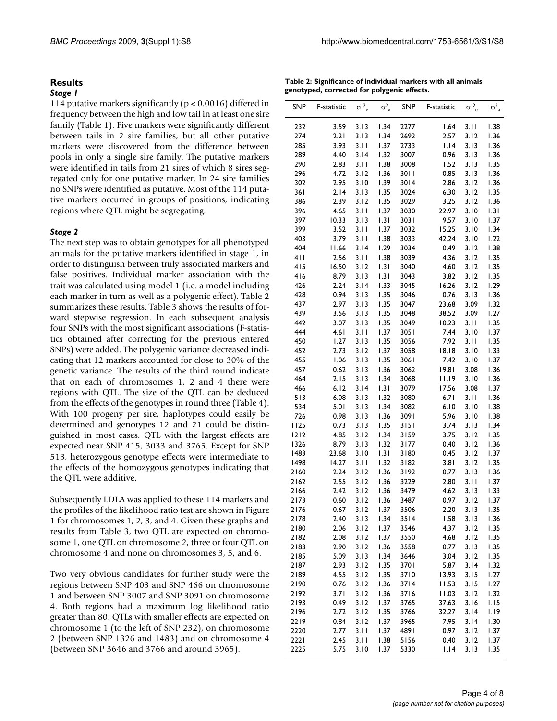#### **Results**

#### *Stage 1*

114 putative markers significantly (p < 0.0016) differed in frequency between the high and low tail in at least one sire family (Table 1). Five markers were significantly different between tails in 2 sire families, but all other putative markers were discovered from the difference between pools in only a single sire family. The putative markers were identified in tails from 21 sires of which 8 sires segregated only for one putative marker. In 24 sire families no SNPs were identified as putative. Most of the 114 putative markers occurred in groups of positions, indicating regions where QTL might be segregating.

#### *Stage 2*

The next step was to obtain genotypes for all phenotyped animals for the putative markers identified in stage 1, in order to distinguish between truly associated markers and false positives. Individual marker association with the trait was calculated using model 1 (i.e. a model including each marker in turn as well as a polygenic effect). Table 2 summarizes these results. Table 3 shows the results of forward stepwise regression. In each subsequent analysis four SNPs with the most significant associations (F-statistics obtained after correcting for the previous entered SNPs) were added. The polygenic variance decreased indicating that 12 markers accounted for close to 30% of the genetic variance. The results of the third round indicate that on each of chromosomes 1, 2 and 4 there were regions with QTL. The size of the QTL can be deduced from the effects of the genotypes in round three (Table 4). With 100 progeny per sire, haplotypes could easily be determined and genotypes 12 and 21 could be distinguished in most cases. QTL with the largest effects are expected near SNP 415, 3033 and 3765. Except for SNP 513, heterozygous genotype effects were intermediate to the effects of the homozygous genotypes indicating that the QTL were additive.

Subsequently LDLA was applied to these 114 markers and the profiles of the likelihood ratio test are shown in Figure 1 for chromosomes 1, 2, 3, and 4. Given these graphs and results from Table 3, two QTL are expected on chromosome 1, one QTL on chromosome 2, three or four QTL on chromosome 4 and none on chromosomes 3, 5, and 6.

Two very obvious candidates for further study were the regions between SNP 403 and SNP 466 on chromosome 1 and between SNP 3007 and SNP 3091 on chromosome 4. Both regions had a maximum log likelihood ratio greater than 80. QTLs with smaller effects are expected on chromosome 1 (to the left of SNP 232), on chromosome 2 (between SNP 1326 and 1483) and on chromosome 4 (between SNP 3646 and 3766 and around 3965).

**Table 2: Significance of individual markers with all animals genotyped, corrected for polygenic effects.**

| SNP  | F-statistic | $\sigma^2$ <sub>e</sub> | $\sigma_{a}^{2}$ | SNP    | F-statistic | $\sigma^2$ <sub>e</sub> | $\sigma_{a}^{2}$ |
|------|-------------|-------------------------|------------------|--------|-------------|-------------------------|------------------|
|      |             |                         |                  |        |             |                         |                  |
| 232  | 3.59        | 3.13                    | 1.34             | 2277   | 1.64        | 3.II                    | 1.38             |
| 274  | 2.21        | 3.13                    | 1.34             | 2692   | 2.57        | 3.12                    | 1.36             |
| 285  | 3.93        | 3.II                    | 1.37             | 2733   | 1.14        | 3.13                    | 1.36             |
| 289  | 4.40        | 3.14                    | 1.32             | 3007   | 0.96        | 3.13                    | 1.36             |
| 290  | 2.83        | 3.II                    | 1.38             | 3008   | 1.52        | 3.13                    | 1.35             |
| 296  | 4.72        | 3.12                    | 1.36             | 3011   | 0.85        | 3.13                    | 1.36             |
| 302  | 2.95        | 3.10                    | 1.39             | 3014   | 2.86        | 3.12                    | 1.36             |
| 361  | 2.14        | 3.13                    | 1.35             | 3024   | 6.30        | 3.12                    | 1.35             |
| 386  | 2.39        | 3.12                    | 1.35             | 3029   | 3.25        | 3.12                    | 1.36             |
| 396  | 4.65        | 3.11                    | 1.37             | 3030   | 22.97       | 3.10                    | 1.31             |
| 397  | 10.33       | 3.13                    | 1.31             | 3031   | 9.57        | 3.10                    | 1.37             |
| 399  | 3.52        | 3.11                    | 1.37             | 3032   | 15.25       | 3.10                    | 1.34             |
| 403  | 3.79        | 3.11                    | 1.38             | 3033   | 42.24       | 3.10                    | 1.22             |
| 404  | 11.66       | 3.14                    | 1.29             | 3034   | 0.49        | 3.12                    | 1.38             |
| 411  | 2.56        | 3.11                    | 1.38             | 3039   | 4.36        | 3.12                    | 1.35             |
| 415  | 16.50       | 3.12                    | 1.31             | 3040   | 4.60        | 3.12                    | 1.35             |
| 416  | 8.79        | 3.13                    | 1.31             | 3043   | 3.82        | 3.12                    | 1.35             |
| 426  | 2.24        | 3.14                    | 1.33             | 3045   | 16.26       | 3.12                    | 1.29             |
| 428  | 0.94        | 3.13                    | 1.35             | 3046   | 0.76        | 3.13                    | 1.36             |
| 437  | 2.97        | 3.13                    | 1.35             | 3047   | 23.68       | 3.09                    | 1.32             |
| 439  | 3.56        | 3.13                    | 1.35             | 3048   | 38.52       | 3.09                    | 1.27             |
| 442  | 3.07        | 3.13                    | 1.35             | 3049   | 10.23       | 3.II                    | 1.35             |
| 444  | 4.61        | 3.11                    | 1.37             | 3051   | 7.44        | 3.10                    | 1.37             |
| 450  | 1.27        | 3.13                    | 1.35             | 3056   | 7.92        | 3.11                    | 1.35             |
| 452  |             |                         | 1.37             |        | 18.18       | 3.10                    |                  |
| 455  | 2.73        | 3.12                    |                  | 3058   |             |                         | 1.33             |
|      | 1.06        | 3.13                    | 1.35             | 3061   | 7.42        | 3.10                    | 1.37             |
| 457  | 0.62        | 3.13                    | 1.36             | 3062   | 19.81       | 3.08                    | 1.36             |
| 464  | 2.15        | 3.13                    | 1.34             | 3068   | 11.19       | 3.10                    | 1.36             |
| 466  | 6.12        | 3.14                    | 1.31             | 3079   | 17.56       | 3.08                    | 1.37             |
| 513  | 6.08        | 3.13                    | 1.32             | 3080   | 6.71        | 3.11                    | 1.36             |
| 534  | 5.01        | 3.13                    | 1.34             | 3082   | 6.10        | 3.10                    | 1.38             |
| 726  | 0.98        | 3.13                    | 1.36             | 3091   | 5.96        | 3.10                    | 1.38             |
| 1125 | 0.73        | 3.I3                    | 1.35             | 3151   | 3.74        | 3.13                    | 1.34             |
| 1212 | 4.85        | 3.12                    | 1.34             | 3159   | 3.75        | 3.12                    | 1.35             |
| 1326 | 8.79        | 3.13                    | 1.32             | 3177   | 0.40        | 3.12                    | 1.36             |
| 1483 | 23.68       | 3.10                    | 1.31             | 3180   | 0.45        | 3.12                    | 1.37             |
| 1498 | 14.27       | 3.11                    | 1.32             | 3182   | 3.81        | 3.12                    | 1.35             |
| 2160 | 2.24        | 3.12                    | 1.36             | 3192   | 0.77        | 3.13                    | 1.36             |
| 2162 | 2.55        | 3.12                    | 1.36             | 3229   | 2.80        | 3.11                    | 1.37             |
| 2166 | 2.42        | 3.12                    | 1.36             | 3479   | 4.62        | 3.I3                    | 1.33             |
| 2173 | 0.60        | 3.12                    | 1.36             | 3487   | 0.97        | 3.12                    | 1.37             |
| 2176 | 0.67        | 3.12                    | 1.37             | 3506   | 2.20        | 3.13                    | 1.35             |
| 2178 | 2.40        | 3.13                    | 1.34             | 3514   | 1.58        | 3.13                    | 1.36             |
| 2180 | 2.06        | 3.12                    | 1.37             | 3546   | 4.37        | 3.12                    | 1.35             |
| 2182 | 2.08        | 3.12                    | 1.37             | 3550   | 4.68        | 3.12                    | 1.35             |
| 2183 | 2.90        | 3.12                    | 1.36             | 3558   | 0.77        | 3.13                    | 1.35             |
| 2185 | 5.09        | 3.13                    | 1.34             | 3646   | 3.04        | 3.12                    | 1.35             |
| 2187 | 2.93        | 3.12                    | 1.35             | 3701   | 5.87        | 3.14                    | 1.32             |
| 2189 | 4.55        | 3.12                    | 1.35             | 3710   | 13.93       | 3.15                    | 1.27             |
| 2190 | 0.76        | 3.12                    | 1.36             | $3714$ | 11.53       | 3.15                    | 1.27             |
| 2192 | 3.71        | 3.12                    | 1.36             | 3716   | 11.03       | 3.12                    | 1.32             |
| 2193 | 0.49        | 3.12                    | 1.37             | 3765   | 37.63       | 3.16                    | 1.15             |
| 2196 | 2.72        | 3.12                    | 1.35             | 3766   | 32.27       | 3.14                    | 1.19             |
| 2219 | 0.84        | 3.12                    | 1.37             | 3965   | 7.95        | 3.14                    | 1.30             |
| 2220 | 2.77        | 3.11                    | 1.37             | 4891   | 0.97        | 3.12                    | 1.37             |
| 2221 | 2.45        | 3.11                    | 1.38             | 5156   | 0.40        | 3.12                    | 1.37             |
| 2225 | 5.75        | 3.10                    | 1.37             | 5330   | 1.14        | 3.13                    | 1.35             |
|      |             |                         |                  |        |             |                         |                  |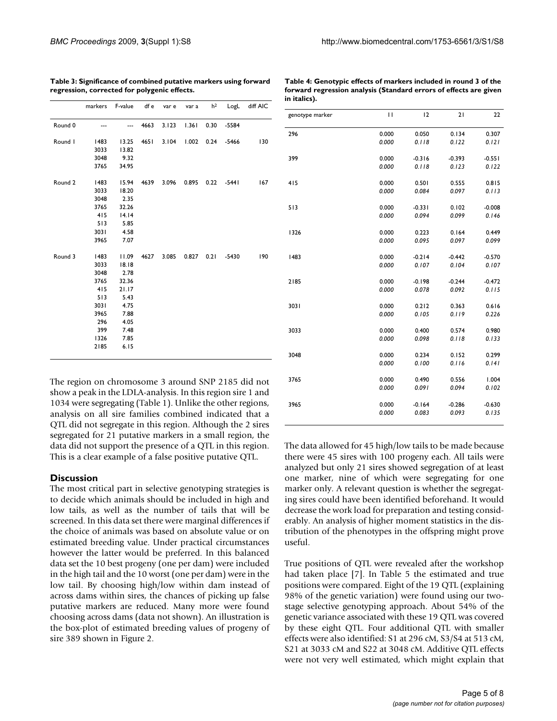**Table 4: Genotypic effects of markers included in round 3 of the forward regression analysis (Standard errors of effects are given** 

|         | markers                                                                                  | F-value                                                                                          | df e | var e | var a | h <sup>2</sup> | LogL    | diff AIC |
|---------|------------------------------------------------------------------------------------------|--------------------------------------------------------------------------------------------------|------|-------|-------|----------------|---------|----------|
| Round 0 |                                                                                          |                                                                                                  | 4663 | 3.123 | 1.361 | 0.30           | $-5584$ |          |
| Round I | 1483<br>3033<br>3048                                                                     | 13.25<br>13.82<br>9.32                                                                           | 4651 | 3.104 | 1.002 | 0.24           | $-5466$ | 130      |
|         | 3765                                                                                     | 34.95                                                                                            |      |       |       |                |         |          |
| Round 2 | 1483<br>3033<br>3048<br>3765<br>415<br>513<br>3031<br>3965                               | 15.94<br>18.20<br>2.35<br>32.26<br>14.14<br>5.85<br>4.58<br>7.07                                 | 4639 | 3.096 | 0.895 | 0.22           | $-5441$ | 167      |
| Round 3 | 1483<br>3033<br>3048<br>3765<br>415<br>513<br>3031<br>3965<br>296<br>399<br>1326<br>2185 | 11.09<br>18.18<br>2.78<br>32.36<br>21.17<br>5.43<br>4.75<br>7.88<br>4.05<br>7.48<br>7.85<br>6.15 | 4627 | 3.085 | 0.827 | 0.21           | $-5430$ | 190      |

**Table 3: Significance of combined putative markers using forward regression, corrected for polygenic effects.**

| in italics).    |       |          |          |          |
|-----------------|-------|----------|----------|----------|
| genotype marker | П     | 12       | 21       | 22       |
| 296             | 0.000 | 0.050    | 0.134    | 0.307    |
|                 | 0.000 | 0.118    | 0.122    | 0.121    |
| 399             | 0.000 | $-0.316$ | $-0.393$ | $-0.551$ |
|                 | 0.000 | 0.118    | 0.123    | 0.122    |
| 415             | 0.000 | 0.501    | 0.555    | 0.815    |
|                 | 0.000 | 0.084    | 0.097    | 0.113    |
| 513             | 0.000 | $-0.331$ | 0.102    | $-0.008$ |
|                 | 0.000 | 0.094    | 0.099    | 0.146    |
| 1326            | 0.000 | 0.223    | 0.164    | 0.449    |
|                 | 0.000 | 0.095    | 0.097    | 0.099    |
| 1483            | 0.000 | $-0.214$ | $-0.442$ | $-0.570$ |
|                 | 0.000 | 0.107    | 0.104    | 0.107    |
| 2185            | 0.000 | $-0.198$ | $-0.244$ | $-0.472$ |
|                 | 0.000 | 0.078    | 0.092    | 0.115    |
| 3031            | 0.000 | 0.212    | 0.363    | 0.616    |
|                 | 0.000 | 0.105    | 0.119    | 0.226    |
| 3033            | 0.000 | 0.400    | 0.574    | 0.980    |
|                 | 0.000 | 0.098    | 0.118    | 0.133    |
| 3048            | 0.000 | 0.234    | 0.152    | 0.299    |
|                 | 0.000 | 0.100    | 0.116    | 0.141    |
| 3765            | 0.000 | 0.490    | 0.556    | 1.004    |
|                 | 0.000 | 0.091    | 0.094    | 0.102    |
| 3965            | 0.000 | $-0.164$ | $-0.286$ | $-0.630$ |
|                 | 0.000 | 0.083    | 0.093    | 0.135    |

The region on chromosome 3 around SNP 2185 did not show a peak in the LDLA-analysis. In this region sire 1 and 1034 were segregating (Table 1). Unlike the other regions, analysis on all sire families combined indicated that a QTL did not segregate in this region. Although the 2 sires segregated for 21 putative markers in a small region, the data did not support the presence of a QTL in this region. This is a clear example of a false positive putative QTL.

#### **Discussion**

The most critical part in selective genotyping strategies is to decide which animals should be included in high and low tails, as well as the number of tails that will be screened. In this data set there were marginal differences if the choice of animals was based on absolute value or on estimated breeding value. Under practical circumstances however the latter would be preferred. In this balanced data set the 10 best progeny (one per dam) were included in the high tail and the 10 worst (one per dam) were in the low tail. By choosing high/low within dam instead of across dams within sires, the chances of picking up false putative markers are reduced. Many more were found choosing across dams (data not shown). An illustration is the box-plot of estimated breeding values of progeny of sire 389 shown in Figure 2.

The data allowed for 45 high/low tails to be made because there were 45 sires with 100 progeny each. All tails were analyzed but only 21 sires showed segregation of at least one marker, nine of which were segregating for one marker only. A relevant question is whether the segregating sires could have been identified beforehand. It would decrease the work load for preparation and testing considerably. An analysis of higher moment statistics in the distribution of the phenotypes in the offspring might prove useful.

True positions of QTL were revealed after the workshop had taken place [7]. In Table 5 the estimated and true positions were compared. Eight of the 19 QTL (explaining 98% of the genetic variation) were found using our twostage selective genotyping approach. About 54% of the genetic variance associated with these 19 QTL was covered by these eight QTL. Four additional QTL with smaller effects were also identified: S1 at 296 cM, S3/S4 at 513 cM, S21 at 3033 cM and S22 at 3048 cM. Additive QTL effects were not very well estimated, which might explain that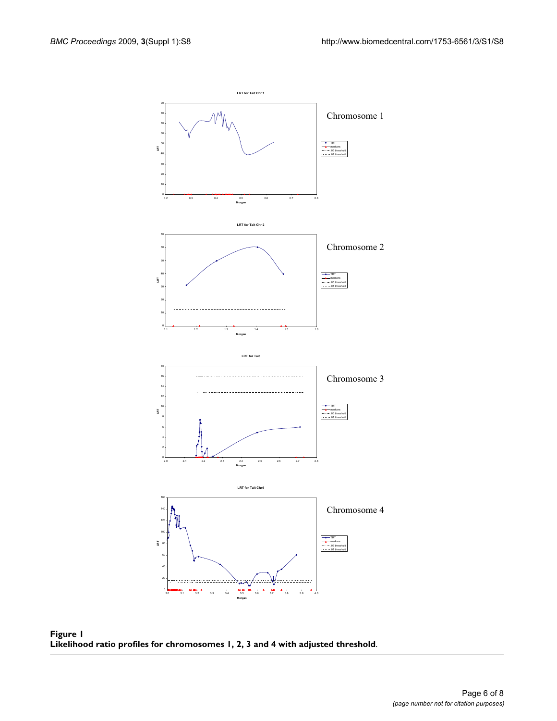

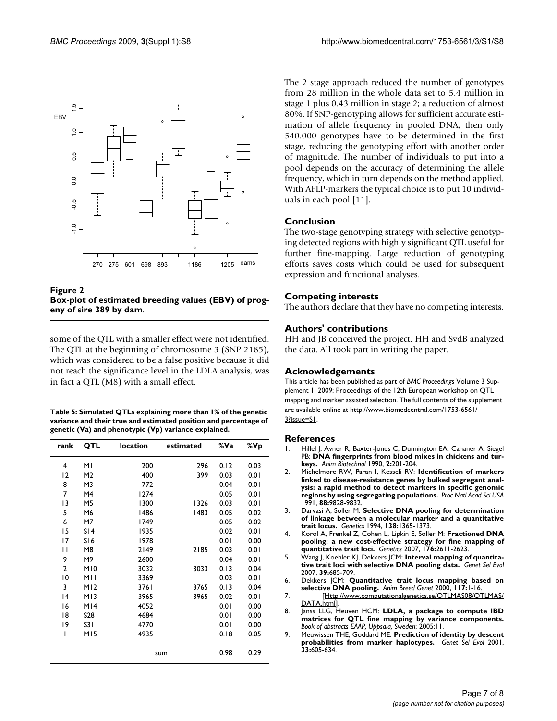

**Figure 2 Box-plot of estimated breeding values (EBV) of progeny of sire 389 by dam**.

some of the QTL with a smaller effect were not identified. The QTL at the beginning of chromosome 3 (SNP 2185), which was considered to be a false positive because it did not reach the significance level in the LDLA analysis, was in fact a QTL (M8) with a small effect.

| Table 5: Simulated QTLs explaining more than 1% of the genetic   |
|------------------------------------------------------------------|
| variance and their true and estimated position and percentage of |
| genetic (Va) and phenotypic (Vp) variance explained.             |

| rank           | QTL             | location | estimated | %Va  | %Vp  |
|----------------|-----------------|----------|-----------|------|------|
| 4              | ΜI              | 200      | 296       | 0.12 | 0.03 |
| 12             | M2              | 400      | 399       | 0.03 | 0.01 |
| 8              | M3              | 772      |           | 0.04 | 0.01 |
| 7              | M4              | 1274     |           | 0.05 | 0.01 |
| 13             | M5              | 1300     | 1326      | 0.03 | 0.01 |
| 5              | M6              | 1486     | 1483      | 0.05 | 0.02 |
| 6              | M7              | 1749     |           | 0.05 | 0.02 |
| 15             | S14             | 1935     |           | 0.02 | 0.01 |
| 17             | S16             | 1978     |           | 0.01 | 0.00 |
| П              | M8              | 2149     | 2185      | 0.03 | 0.01 |
| 9              | M9              | 2600     |           | 0.04 | 0.01 |
| $\overline{2}$ | M10             | 3032     | 3033      | 0.13 | 0.04 |
| 10             | MII             | 3369     |           | 0.03 | 0.01 |
| 3              | M12             | 3761     | 3765      | 0.13 | 0.04 |
| 14             | M <sub>13</sub> | 3965     | 3965      | 0.02 | 0.01 |
| 16             | M14             | 4052     |           | 0.01 | 0.00 |
| 18             | S <sub>28</sub> | 4684     |           | 0.01 | 0.00 |
| 19             | S31             | 4770     |           | 0.01 | 0.00 |
| ı              | MI5             | 4935     |           | 0.18 | 0.05 |
|                |                 |          | sum       | 0.98 | 0.29 |

The 2 stage approach reduced the number of genotypes from 28 million in the whole data set to 5.4 million in stage 1 plus 0.43 million in stage 2; a reduction of almost 80%. If SNP-genotyping allows for sufficient accurate estimation of allele frequency in pooled DNA, then only 540.000 genotypes have to be determined in the first stage, reducing the genotyping effort with another order of magnitude. The number of individuals to put into a pool depends on the accuracy of determining the allele frequency, which in turn depends on the method applied. With AFLP-markers the typical choice is to put 10 individuals in each pool [11].

### **Conclusion**

The two-stage genotyping strategy with selective genotyping detected regions with highly significant QTL useful for further fine-mapping. Large reduction of genotyping efforts saves costs which could be used for subsequent expression and functional analyses.

#### **Competing interests**

The authors declare that they have no competing interests.

### **Authors' contributions**

HH and JB conceived the project. HH and SvdB analyzed the data. All took part in writing the paper.

#### **Acknowledgements**

This article has been published as part of *BMC Proceedings* Volume 3 Supplement 1, 2009: Proceedings of the 12th European workshop on QTL mapping and marker assisted selection. The full contents of the supplement are available online at [http://www.biomedcentral.com/1753-6561/](http://www.biomedcentral.com/1753-6561/3?issue=S1) [3?issue=S1.](http://www.biomedcentral.com/1753-6561/3?issue=S1)

#### **References**

- Hillel J, Avner R, Baxter-Jones C, Dunnington EA, Cahaner A, Siegel PB: **DNA fingerprints from blood mixes in chickens and turkeys.** *Anim Biotechnol* 1990, **2:**201-204.
- 2. Michelmore RW, Paran I, Kesseli RV: **[Identification of markers](http://www.ncbi.nlm.nih.gov/entrez/query.fcgi?cmd=Retrieve&db=PubMed&dopt=Abstract&list_uids=1682921) [linked to disease-resistance genes by bulked segregant anal](http://www.ncbi.nlm.nih.gov/entrez/query.fcgi?cmd=Retrieve&db=PubMed&dopt=Abstract&list_uids=1682921)ysis: a rapid method to detect markers in specific genomic [regions by using segregating populations.](http://www.ncbi.nlm.nih.gov/entrez/query.fcgi?cmd=Retrieve&db=PubMed&dopt=Abstract&list_uids=1682921)** *Proc Natl Acad Sci USA* 1991, **88:**9828-9832.
- 3. Darvasi A, Soller M: **[Selective DNA pooling for determination](http://www.ncbi.nlm.nih.gov/entrez/query.fcgi?cmd=Retrieve&db=PubMed&dopt=Abstract&list_uids=7896115) [of linkage between a molecular marker and a quantitative](http://www.ncbi.nlm.nih.gov/entrez/query.fcgi?cmd=Retrieve&db=PubMed&dopt=Abstract&list_uids=7896115) [trait locus.](http://www.ncbi.nlm.nih.gov/entrez/query.fcgi?cmd=Retrieve&db=PubMed&dopt=Abstract&list_uids=7896115)** *Genetics* 1994, **138:**1365-1373.
- 4. Korol A, Frenkel Z, Cohen L, Lipkin E, Soller M: **[Fractioned DNA](http://www.ncbi.nlm.nih.gov/entrez/query.fcgi?cmd=Retrieve&db=PubMed&dopt=Abstract&list_uids=17603122) [pooling: a new cost-effective strategy for fine mapping of](http://www.ncbi.nlm.nih.gov/entrez/query.fcgi?cmd=Retrieve&db=PubMed&dopt=Abstract&list_uids=17603122) [quantitative trait loci.](http://www.ncbi.nlm.nih.gov/entrez/query.fcgi?cmd=Retrieve&db=PubMed&dopt=Abstract&list_uids=17603122)** *Genetics* 2007, **176:**2611-2623.
- 5. Wang J, Koehler KJ, Dekkers JCM: **[Interval mapping of quantita](http://www.ncbi.nlm.nih.gov/entrez/query.fcgi?cmd=Retrieve&db=PubMed&dopt=Abstract&list_uids=18053576)[tive trait loci with selective DNA pooling data.](http://www.ncbi.nlm.nih.gov/entrez/query.fcgi?cmd=Retrieve&db=PubMed&dopt=Abstract&list_uids=18053576)** *Genet Sel Evol* 2007, **39:**685-709.
- 6. Dekkers JCM: **Quantitative trait locus mapping based on selective DNA pooling.** *Anim Breed Genet* 2000, **117:**1-16.
- 7. [[Http://www.computationalgenetics.se/QTLMAS08/QTLMAS/](Http://www.computationalgenetics.se/QTLMAS08/QTLMAS/DATA.html) DATA.htmll.
- 8. Janss LLG, Heuven HCM: **LDLA, a package to compute IBD matrices for QTL fine mapping by variance components.** *Book of abstracts EAAP, Uppsala, Sweden*; 2005:11.
- 9. Meuwissen THE, Goddard ME: **[Prediction of identity by descent](http://www.ncbi.nlm.nih.gov/entrez/query.fcgi?cmd=Retrieve&db=PubMed&dopt=Abstract&list_uids=11742632) [probabilities from marker haplotypes.](http://www.ncbi.nlm.nih.gov/entrez/query.fcgi?cmd=Retrieve&db=PubMed&dopt=Abstract&list_uids=11742632)** *Genet Sel Evol* 2001, **33:**605-634.